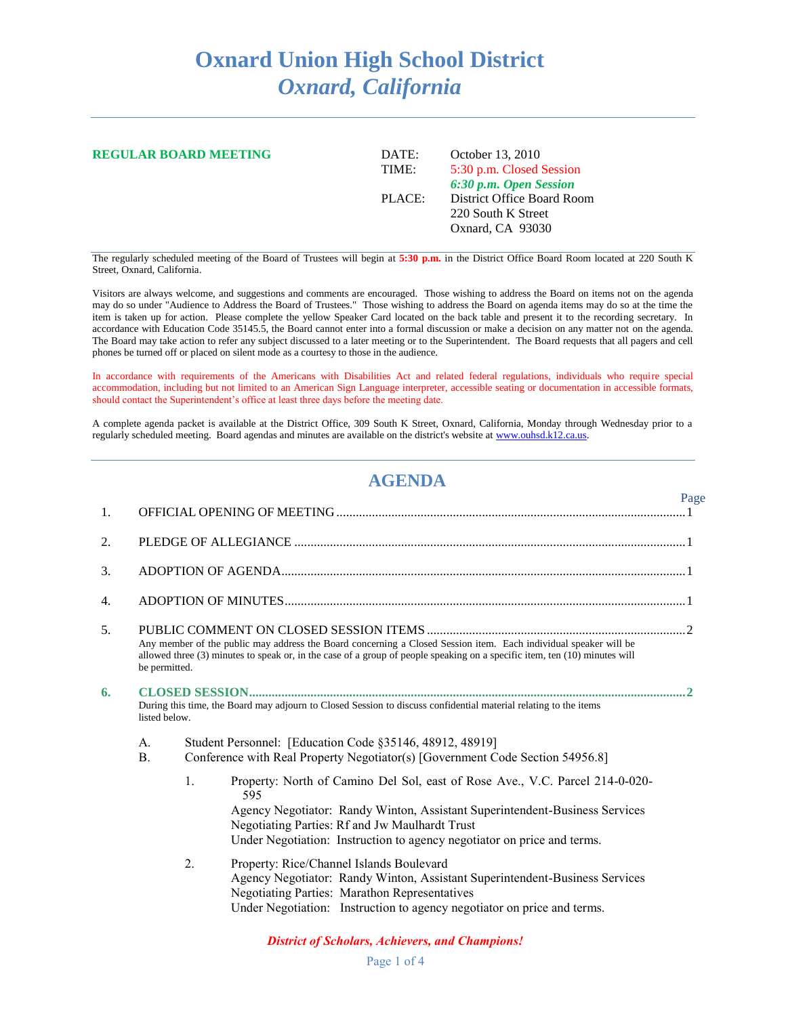# **Oxnard Union High School District** *Oxnard, California*

| <b>REGULAR BOARD MEETING</b> | DATE:<br>TIME: | October 13, 2010<br>5:30 p.m. Closed Session                                                   |  |
|------------------------------|----------------|------------------------------------------------------------------------------------------------|--|
|                              | PLACE:         | 6:30 p.m. Open Session<br>District Office Board Room<br>220 South K Street<br>Oxnard, CA 93030 |  |

The regularly scheduled meeting of the Board of Trustees will begin at **5:30 p.m.** in the District Office Board Room located at 220 South K Street, Oxnard, California.

Visitors are always welcome, and suggestions and comments are encouraged. Those wishing to address the Board on items not on the agenda may do so under "Audience to Address the Board of Trustees." Those wishing to address the Board on agenda items may do so at the time the item is taken up for action. Please complete the yellow Speaker Card located on the back table and present it to the recording secretary. In accordance with Education Code 35145.5, the Board cannot enter into a formal discussion or make a decision on any matter not on the agenda. The Board may take action to refer any subject discussed to a later meeting or to the Superintendent. The Board requests that all pagers and cell phones be turned off or placed on silent mode as a courtesy to those in the audience.

In accordance with requirements of the Americans with Disabilities Act and related federal regulations, individuals who require special accommodation, including but not limited to an American Sign Language interpreter, accessible seating or documentation in accessible formats, should contact the Superintendent's office at least three days before the meeting date.

A complete agenda packet is available at the District Office, 309 South K Street, Oxnard, California, Monday through Wednesday prior to a regularly scheduled meeting. Board agendas and minutes are available on the district's website a[t www.ouhsd.k12.ca.us.](http://www.ouhsd.k12.ca.us/)

## **AGENDA**

Page

| 1. |                                                                                                                                   |                  |                                                                                                                                                                                                                                                                                                                                                                                                                                              |  |
|----|-----------------------------------------------------------------------------------------------------------------------------------|------------------|----------------------------------------------------------------------------------------------------------------------------------------------------------------------------------------------------------------------------------------------------------------------------------------------------------------------------------------------------------------------------------------------------------------------------------------------|--|
| 2. |                                                                                                                                   |                  |                                                                                                                                                                                                                                                                                                                                                                                                                                              |  |
| 3. |                                                                                                                                   |                  |                                                                                                                                                                                                                                                                                                                                                                                                                                              |  |
| 4. |                                                                                                                                   |                  |                                                                                                                                                                                                                                                                                                                                                                                                                                              |  |
| 5. | be permitted.                                                                                                                     |                  | Any member of the public may address the Board concerning a Closed Session item. Each individual speaker will be<br>allowed three (3) minutes to speak or, in the case of a group of people speaking on a specific item, ten (10) minutes will                                                                                                                                                                                               |  |
| 6. | During this time, the Board may adjourn to Closed Session to discuss confidential material relating to the items<br>listed below. |                  |                                                                                                                                                                                                                                                                                                                                                                                                                                              |  |
|    | A.<br>$\mathbf{B}$ .                                                                                                              | 1.               | Student Personnel: [Education Code §35146, 48912, 48919]<br>Conference with Real Property Negotiator(s) [Government Code Section 54956.8]<br>Property: North of Camino Del Sol, east of Rose Ave., V.C. Parcel 214-0-020-<br>595<br>Agency Negotiator: Randy Winton, Assistant Superintendent-Business Services<br>Negotiating Parties: Rf and Jw Maulhardt Trust<br>Under Negotiation: Instruction to agency negotiator on price and terms. |  |
|    |                                                                                                                                   | $\overline{2}$ . | Property: Rice/Channel Islands Boulevard<br>Agency Negotiator: Randy Winton, Assistant Superintendent-Business Services<br><b>Negotiating Parties: Marathon Representatives</b><br>Under Negotiation: Instruction to agency negotiator on price and terms.                                                                                                                                                                                   |  |

#### *District of Scholars, Achievers, and Champions!*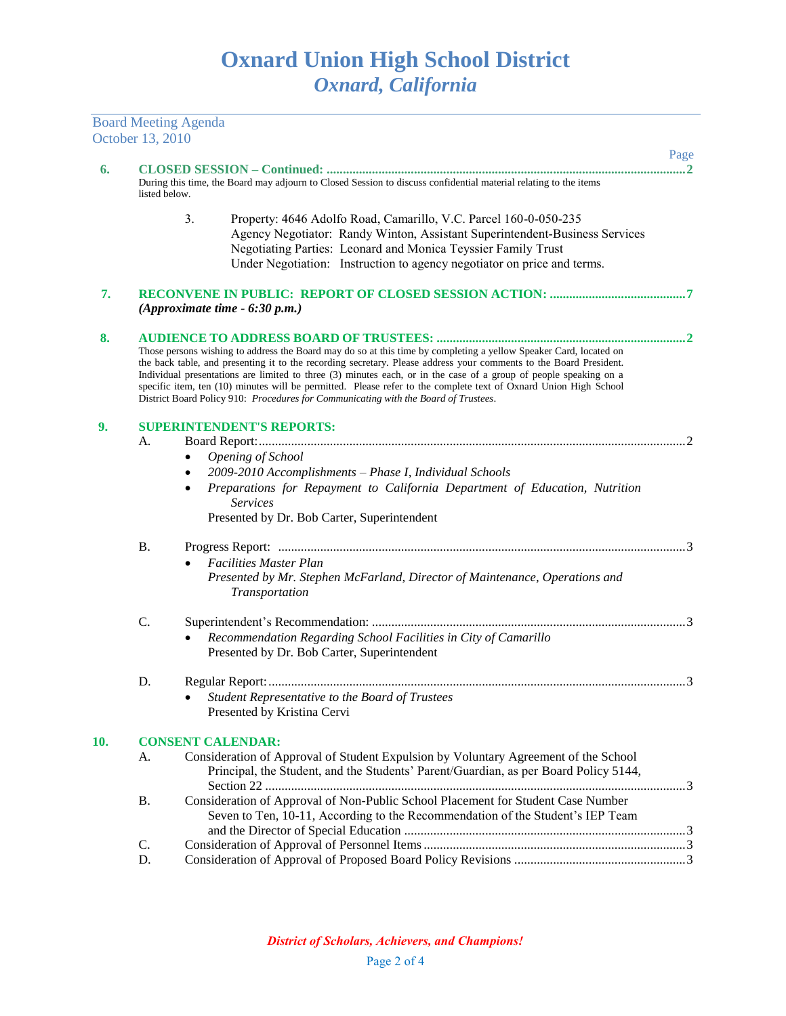Board Meeting Agenda

|     | October 13, 2010 |                                                                                                                                                                                                                                                                                                                              |      |  |  |
|-----|------------------|------------------------------------------------------------------------------------------------------------------------------------------------------------------------------------------------------------------------------------------------------------------------------------------------------------------------------|------|--|--|
| 6.  |                  |                                                                                                                                                                                                                                                                                                                              | Page |  |  |
|     | listed below.    | During this time, the Board may adjourn to Closed Session to discuss confidential material relating to the items                                                                                                                                                                                                             |      |  |  |
|     |                  | 3.<br>Property: 4646 Adolfo Road, Camarillo, V.C. Parcel 160-0-050-235                                                                                                                                                                                                                                                       |      |  |  |
|     |                  | Agency Negotiator: Randy Winton, Assistant Superintendent-Business Services                                                                                                                                                                                                                                                  |      |  |  |
|     |                  | Negotiating Parties: Leonard and Monica Teyssier Family Trust                                                                                                                                                                                                                                                                |      |  |  |
|     |                  | Under Negotiation: Instruction to agency negotiator on price and terms.                                                                                                                                                                                                                                                      |      |  |  |
| 7.  |                  | (Approximate time $-6:30$ p.m.)                                                                                                                                                                                                                                                                                              |      |  |  |
| 8.  |                  |                                                                                                                                                                                                                                                                                                                              |      |  |  |
|     |                  | Those persons wishing to address the Board may do so at this time by completing a yellow Speaker Card, located on                                                                                                                                                                                                            |      |  |  |
|     |                  | the back table, and presenting it to the recording secretary. Please address your comments to the Board President.                                                                                                                                                                                                           |      |  |  |
|     |                  | Individual presentations are limited to three (3) minutes each, or in the case of a group of people speaking on a<br>specific item, ten (10) minutes will be permitted. Please refer to the complete text of Oxnard Union High School<br>District Board Policy 910: Procedures for Communicating with the Board of Trustees. |      |  |  |
| 9.  |                  | <b>SUPERINTENDENT'S REPORTS:</b>                                                                                                                                                                                                                                                                                             |      |  |  |
|     | A.               |                                                                                                                                                                                                                                                                                                                              |      |  |  |
|     |                  | Opening of School<br>$\bullet$                                                                                                                                                                                                                                                                                               |      |  |  |
|     |                  | 2009-2010 Accomplishments - Phase I, Individual Schools<br>$\bullet$                                                                                                                                                                                                                                                         |      |  |  |
|     |                  | Preparations for Repayment to California Department of Education, Nutrition<br>$\bullet$<br><b>Services</b>                                                                                                                                                                                                                  |      |  |  |
|     |                  | Presented by Dr. Bob Carter, Superintendent                                                                                                                                                                                                                                                                                  |      |  |  |
|     | Β.               |                                                                                                                                                                                                                                                                                                                              |      |  |  |
|     |                  | <b>Facilities Master Plan</b>                                                                                                                                                                                                                                                                                                |      |  |  |
|     |                  | Presented by Mr. Stephen McFarland, Director of Maintenance, Operations and<br>Transportation                                                                                                                                                                                                                                |      |  |  |
|     | C.               |                                                                                                                                                                                                                                                                                                                              |      |  |  |
|     |                  | Recommendation Regarding School Facilities in City of Camarillo                                                                                                                                                                                                                                                              |      |  |  |
|     |                  | Presented by Dr. Bob Carter, Superintendent                                                                                                                                                                                                                                                                                  |      |  |  |
|     | D.               |                                                                                                                                                                                                                                                                                                                              |      |  |  |
|     |                  | Student Representative to the Board of Trustees                                                                                                                                                                                                                                                                              |      |  |  |
|     |                  | Presented by Kristina Cervi                                                                                                                                                                                                                                                                                                  |      |  |  |
| 10. |                  | <b>CONSENT CALENDAR:</b>                                                                                                                                                                                                                                                                                                     |      |  |  |
|     | A.               | Consideration of Approval of Student Expulsion by Voluntary Agreement of the School                                                                                                                                                                                                                                          |      |  |  |
|     |                  | Principal, the Student, and the Students' Parent/Guardian, as per Board Policy 5144,                                                                                                                                                                                                                                         |      |  |  |
|     | Β.               | Consideration of Approval of Non-Public School Placement for Student Case Number                                                                                                                                                                                                                                             |      |  |  |
|     |                  | Seven to Ten, 10-11, According to the Recommendation of the Student's IEP Team                                                                                                                                                                                                                                               |      |  |  |
|     |                  |                                                                                                                                                                                                                                                                                                                              |      |  |  |
|     | C.               |                                                                                                                                                                                                                                                                                                                              |      |  |  |
|     | D.               |                                                                                                                                                                                                                                                                                                                              |      |  |  |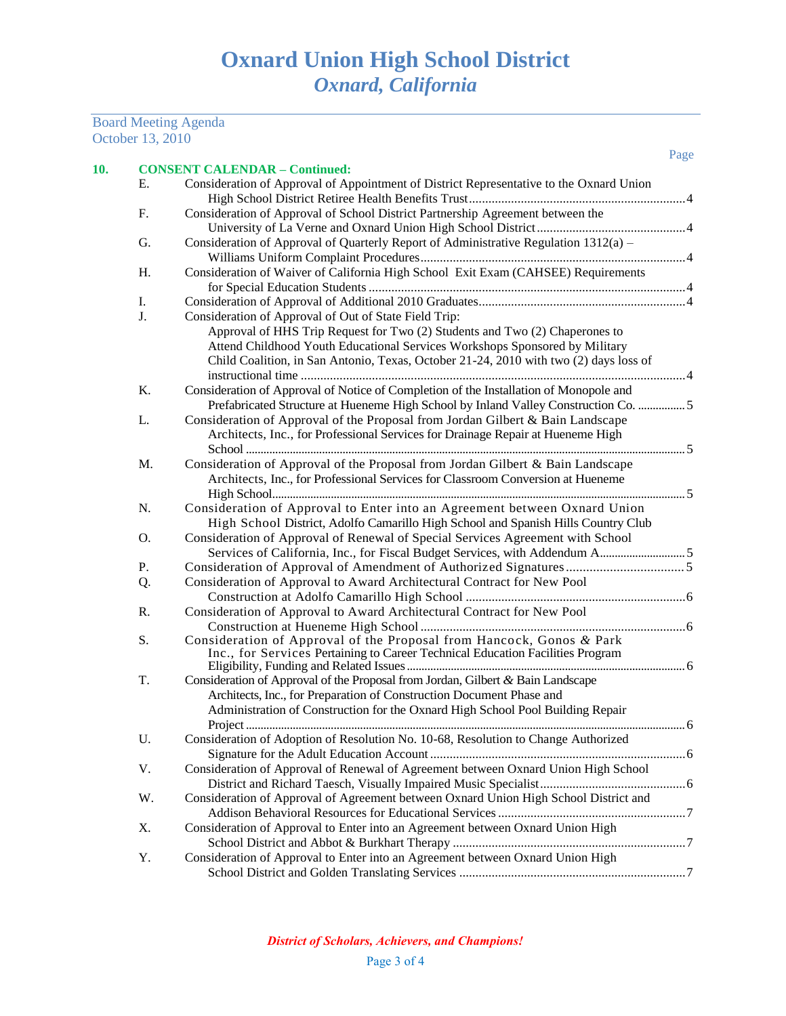#### Board Meeting Agenda October 13, 2010

| 10. |    | <b>CONSENT CALENDAR - Continued:</b>                                                    | Page |
|-----|----|-----------------------------------------------------------------------------------------|------|
|     | Е. | Consideration of Approval of Appointment of District Representative to the Oxnard Union |      |
|     |    |                                                                                         |      |
|     | F. | Consideration of Approval of School District Partnership Agreement between the          |      |
|     |    |                                                                                         |      |
|     | G. | Consideration of Approval of Quarterly Report of Administrative Regulation 1312(a) -    |      |
|     |    |                                                                                         |      |
|     | H. | Consideration of Waiver of California High School Exit Exam (CAHSEE) Requirements       |      |
|     |    |                                                                                         |      |
|     | Ι. |                                                                                         |      |
|     | J. | Consideration of Approval of Out of State Field Trip:                                   |      |
|     |    | Approval of HHS Trip Request for Two (2) Students and Two (2) Chaperones to             |      |
|     |    | Attend Childhood Youth Educational Services Workshops Sponsored by Military             |      |
|     |    | Child Coalition, in San Antonio, Texas, October 21-24, 2010 with two (2) days loss of   |      |
|     |    |                                                                                         |      |
|     | K. | Consideration of Approval of Notice of Completion of the Installation of Monopole and   |      |
|     |    | Prefabricated Structure at Hueneme High School by Inland Valley Construction Co.  5     |      |
|     | L. | Consideration of Approval of the Proposal from Jordan Gilbert & Bain Landscape          |      |
|     |    | Architects, Inc., for Professional Services for Drainage Repair at Hueneme High         |      |
|     |    |                                                                                         |      |
|     |    |                                                                                         |      |
|     | M. | Consideration of Approval of the Proposal from Jordan Gilbert & Bain Landscape          |      |
|     |    | Architects, Inc., for Professional Services for Classroom Conversion at Hueneme         |      |
|     |    |                                                                                         |      |
|     | N. | Consideration of Approval to Enter into an Agreement between Oxnard Union               |      |
|     |    | High School District, Adolfo Camarillo High School and Spanish Hills Country Club       |      |
|     | O. | Consideration of Approval of Renewal of Special Services Agreement with School          |      |
|     |    |                                                                                         |      |
|     | Ρ. |                                                                                         |      |
|     | Q. | Consideration of Approval to Award Architectural Contract for New Pool                  |      |
|     |    |                                                                                         |      |
|     | R. | Consideration of Approval to Award Architectural Contract for New Pool                  |      |
|     |    |                                                                                         |      |
|     | S. | Consideration of Approval of the Proposal from Hancock, Gonos & Park                    |      |
|     |    | Inc., for Services Pertaining to Career Technical Education Facilities Program          |      |
|     |    |                                                                                         |      |
|     | T. | Consideration of Approval of the Proposal from Jordan, Gilbert & Bain Landscape         |      |
|     |    | Architects, Inc., for Preparation of Construction Document Phase and                    |      |
|     |    | Administration of Construction for the Oxnard High School Pool Building Repair          |      |
|     |    |                                                                                         |      |
|     | U. | Consideration of Adoption of Resolution No. 10-68, Resolution to Change Authorized      |      |
|     |    |                                                                                         |      |
|     | V. | Consideration of Approval of Renewal of Agreement between Oxnard Union High School      |      |
|     |    |                                                                                         |      |
|     | W. | Consideration of Approval of Agreement between Oxnard Union High School District and    |      |
|     |    |                                                                                         |      |
|     | Х. | Consideration of Approval to Enter into an Agreement between Oxnard Union High          |      |

School District and Abbot & Burkhart Therapy ........................................................................7 Y. Consideration of Approval to Enter into an Agreement between Oxnard Union High School District and Golden Translating Services ......................................................................7